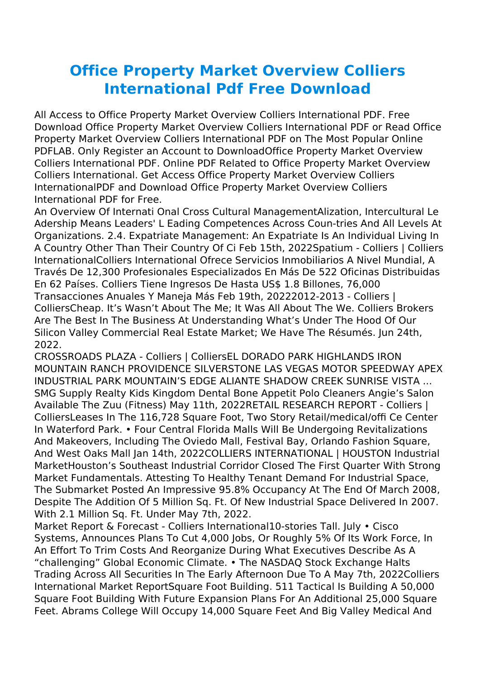## **Office Property Market Overview Colliers International Pdf Free Download**

All Access to Office Property Market Overview Colliers International PDF. Free Download Office Property Market Overview Colliers International PDF or Read Office Property Market Overview Colliers International PDF on The Most Popular Online PDFLAB. Only Register an Account to DownloadOffice Property Market Overview Colliers International PDF. Online PDF Related to Office Property Market Overview Colliers International. Get Access Office Property Market Overview Colliers InternationalPDF and Download Office Property Market Overview Colliers International PDF for Free.

An Overview Of Internati Onal Cross Cultural ManagementAlization, Intercultural Le Adership Means Leaders' L Eading Competences Across Coun-tries And All Levels At Organizations. 2.4. Expatriate Management: An Expatriate Is An Individual Living In A Country Other Than Their Country Of Ci Feb 15th, 2022Spatium - Colliers | Colliers InternationalColliers International Ofrece Servicios Inmobiliarios A Nivel Mundial, A Través De 12,300 Profesionales Especializados En Más De 522 Oficinas Distribuidas En 62 Países. Colliers Tiene Ingresos De Hasta US\$ 1.8 Billones, 76,000 Transacciones Anuales Y Maneja Más Feb 19th, 20222012-2013 - Colliers | ColliersCheap. It's Wasn't About The Me; It Was All About The We. Colliers Brokers Are The Best In The Business At Understanding What's Under The Hood Of Our Silicon Valley Commercial Real Estate Market; We Have The Résumés. Jun 24th, 2022.

CROSSROADS PLAZA - Colliers | ColliersEL DORADO PARK HIGHLANDS IRON MOUNTAIN RANCH PROVIDENCE SILVERSTONE LAS VEGAS MOTOR SPEEDWAY APEX INDUSTRIAL PARK MOUNTAIN'S EDGE ALIANTE SHADOW CREEK SUNRISE VISTA ... SMG Supply Realty Kids Kingdom Dental Bone Appetit Polo Cleaners Angie's Salon Available The Zuu (Fitness) May 11th, 2022RETAIL RESEARCH REPORT - Colliers | ColliersLeases In The 116,728 Square Foot, Two Story Retail/medical/offi Ce Center In Waterford Park. • Four Central Florida Malls Will Be Undergoing Revitalizations And Makeovers, Including The Oviedo Mall, Festival Bay, Orlando Fashion Square, And West Oaks Mall Jan 14th, 2022COLLIERS INTERNATIONAL | HOUSTON Industrial MarketHouston's Southeast Industrial Corridor Closed The First Quarter With Strong Market Fundamentals. Attesting To Healthy Tenant Demand For Industrial Space, The Submarket Posted An Impressive 95.8% Occupancy At The End Of March 2008, Despite The Addition Of 5 Million Sq. Ft. Of New Industrial Space Delivered In 2007. With 2.1 Million Sq. Ft. Under May 7th, 2022.

Market Report & Forecast - Colliers International10-stories Tall. July • Cisco Systems, Announces Plans To Cut 4,000 Jobs, Or Roughly 5% Of Its Work Force, In An Effort To Trim Costs And Reorganize During What Executives Describe As A "challenging" Global Economic Climate. • The NASDAQ Stock Exchange Halts Trading Across All Securities In The Early Afternoon Due To A May 7th, 2022Colliers International Market ReportSquare Foot Building. 511 Tactical Is Building A 50,000 Square Foot Building With Future Expansion Plans For An Additional 25,000 Square Feet. Abrams College Will Occupy 14,000 Square Feet And Big Valley Medical And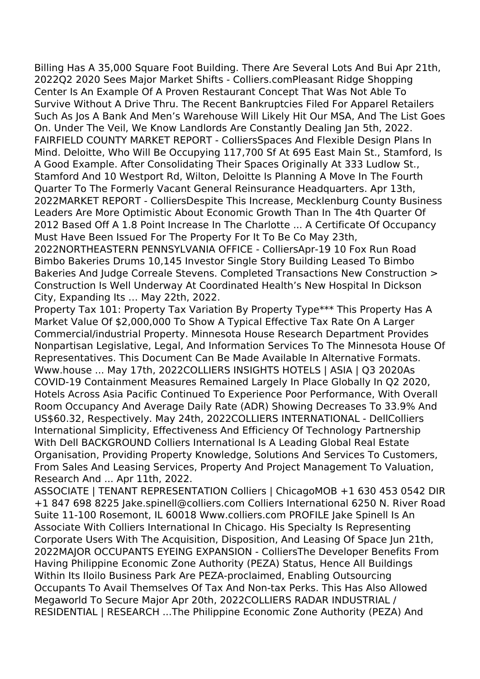Billing Has A 35,000 Square Foot Building. There Are Several Lots And Bui Apr 21th, 2022Q2 2020 Sees Major Market Shifts - Colliers.comPleasant Ridge Shopping Center Is An Example Of A Proven Restaurant Concept That Was Not Able To Survive Without A Drive Thru. The Recent Bankruptcies Filed For Apparel Retailers Such As Jos A Bank And Men's Warehouse Will Likely Hit Our MSA, And The List Goes On. Under The Veil, We Know Landlords Are Constantly Dealing Jan 5th, 2022. FAIRFIELD COUNTY MARKET REPORT - ColliersSpaces And Flexible Design Plans In Mind. Deloitte, Who Will Be Occupying 117,700 Sf At 695 East Main St., Stamford, Is A Good Example. After Consolidating Their Spaces Originally At 333 Ludlow St., Stamford And 10 Westport Rd, Wilton, Deloitte Is Planning A Move In The Fourth Quarter To The Formerly Vacant General Reinsurance Headquarters. Apr 13th, 2022MARKET REPORT - ColliersDespite This Increase, Mecklenburg County Business Leaders Are More Optimistic About Economic Growth Than In The 4th Quarter Of 2012 Based Off A 1.8 Point Increase In The Charlotte ... A Certificate Of Occupancy Must Have Been Issued For The Property For It To Be Co May 23th,

2022NORTHEASTERN PENNSYLVANIA OFFICE - ColliersApr-19 10 Fox Run Road Bimbo Bakeries Drums 10,145 Investor Single Story Building Leased To Bimbo Bakeries And Judge Correale Stevens. Completed Transactions New Construction > Construction Is Well Underway At Coordinated Health's New Hospital In Dickson City, Expanding Its … May 22th, 2022.

Property Tax 101: Property Tax Variation By Property Type\*\*\* This Property Has A Market Value Of \$2,000,000 To Show A Typical Effective Tax Rate On A Larger Commercial/industrial Property. Minnesota House Research Department Provides Nonpartisan Legislative, Legal, And Information Services To The Minnesota House Of Representatives. This Document Can Be Made Available In Alternative Formats. Www.house ... May 17th, 2022COLLIERS INSIGHTS HOTELS | ASIA | Q3 2020As COVID-19 Containment Measures Remained Largely In Place Globally In Q2 2020, Hotels Across Asia Pacific Continued To Experience Poor Performance, With Overall Room Occupancy And Average Daily Rate (ADR) Showing Decreases To 33.9% And US\$60.32, Respectively. May 24th, 2022COLLIERS INTERNATIONAL - DellColliers International Simplicity, Effectiveness And Efficiency Of Technology Partnership With Dell BACKGROUND Colliers International Is A Leading Global Real Estate Organisation, Providing Property Knowledge, Solutions And Services To Customers, From Sales And Leasing Services, Property And Project Management To Valuation, Research And ... Apr 11th, 2022.

ASSOCIATE | TENANT REPRESENTATION Colliers | ChicagoMOB +1 630 453 0542 DIR +1 847 698 8225 Jake.spinell@colliers.com Colliers International 6250 N. River Road Suite 11-100 Rosemont, IL 60018 Www.colliers.com PROFILE Jake Spinell Is An Associate With Colliers International In Chicago. His Specialty Is Representing Corporate Users With The Acquisition, Disposition, And Leasing Of Space Jun 21th, 2022MAJOR OCCUPANTS EYEING EXPANSION - ColliersThe Developer Benefits From Having Philippine Economic Zone Authority (PEZA) Status, Hence All Buildings Within Its Iloilo Business Park Are PEZA-proclaimed, Enabling Outsourcing Occupants To Avail Themselves Of Tax And Non-tax Perks. This Has Also Allowed Megaworld To Secure Major Apr 20th, 2022COLLIERS RADAR INDUSTRIAL / RESIDENTIAL | RESEARCH ...The Philippine Economic Zone Authority (PEZA) And